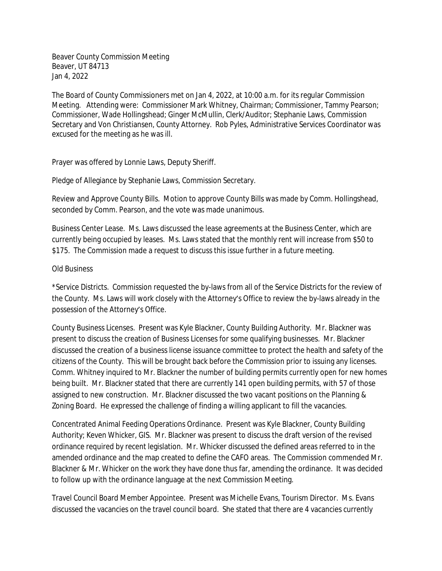Beaver County Commission Meeting Beaver, UT 84713 Jan 4, 2022

The Board of County Commissioners met on Jan 4, 2022, at 10:00 a.m. for its regular Commission Meeting. Attending were: Commissioner Mark Whitney, Chairman; Commissioner, Tammy Pearson; Commissioner, Wade Hollingshead; Ginger McMullin, Clerk/Auditor; Stephanie Laws, Commission Secretary and Von Christiansen, County Attorney. Rob Pyles, Administrative Services Coordinator was excused for the meeting as he was ill.

Prayer was offered by Lonnie Laws, Deputy Sheriff.

Pledge of Allegiance by Stephanie Laws, Commission Secretary.

Review and Approve County Bills. Motion to approve County Bills was made by Comm. Hollingshead, seconded by Comm. Pearson, and the vote was made unanimous.

Business Center Lease. Ms. Laws discussed the lease agreements at the Business Center, which are currently being occupied by leases. Ms. Laws stated that the monthly rent will increase from \$50 to \$175. The Commission made a request to discuss this issue further in a future meeting.

## Old Business

\*Service Districts. Commission requested the by-laws from all of the Service Districts for the review of the County. Ms. Laws will work closely with the Attorney's Office to review the by-laws already in the possession of the Attorney's Office.

County Business Licenses. Present was Kyle Blackner, County Building Authority. Mr. Blackner was present to discuss the creation of Business Licenses for some qualifying businesses. Mr. Blackner discussed the creation of a business license issuance committee to protect the health and safety of the citizens of the County. This will be brought back before the Commission prior to issuing any licenses. Comm. Whitney inquired to Mr. Blackner the number of building permits currently open for new homes being built. Mr. Blackner stated that there are currently 141 open building permits, with 57 of those assigned to new construction. Mr. Blackner discussed the two vacant positions on the Planning & Zoning Board. He expressed the challenge of finding a willing applicant to fill the vacancies.

Concentrated Animal Feeding Operations Ordinance. Present was Kyle Blackner, County Building Authority; Keven Whicker, GIS. Mr. Blackner was present to discuss the draft version of the revised ordinance required by recent legislation. Mr. Whicker discussed the defined areas referred to in the amended ordinance and the map created to define the CAFO areas. The Commission commended Mr. Blackner & Mr. Whicker on the work they have done thus far, amending the ordinance. It was decided to follow up with the ordinance language at the next Commission Meeting.

Travel Council Board Member Appointee. Present was Michelle Evans, Tourism Director. Ms. Evans discussed the vacancies on the travel council board. She stated that there are 4 vacancies currently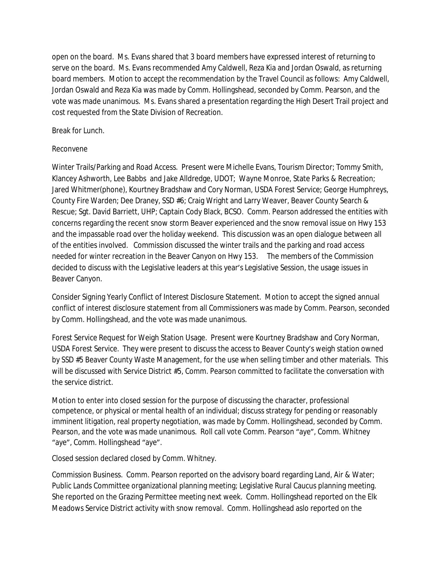open on the board. Ms. Evans shared that 3 board members have expressed interest of returning to serve on the board. Ms. Evans recommended Amy Caldwell, Reza Kia and Jordan Oswald, as returning board members. Motion to accept the recommendation by the Travel Council as follows: Amy Caldwell, Jordan Oswald and Reza Kia was made by Comm. Hollingshead, seconded by Comm. Pearson, and the vote was made unanimous. Ms. Evans shared a presentation regarding the High Desert Trail project and cost requested from the State Division of Recreation.

## Break for Lunch.

## Reconvene

Winter Trails/Parking and Road Access. Present were Michelle Evans, Tourism Director; Tommy Smith, Klancey Ashworth, Lee Babbs and Jake Alldredge, UDOT; Wayne Monroe, State Parks & Recreation; Jared Whitmer(phone), Kourtney Bradshaw and Cory Norman, USDA Forest Service; George Humphreys, County Fire Warden; Dee Draney, SSD #6; Craig Wright and Larry Weaver, Beaver County Search & Rescue; Sgt. David Barriett, UHP; Captain Cody Black, BCSO. Comm. Pearson addressed the entities with concerns regarding the recent snow storm Beaver experienced and the snow removal issue on Hwy 153 and the impassable road over the holiday weekend. This discussion was an open dialogue between all of the entities involved. Commission discussed the winter trails and the parking and road access needed for winter recreation in the Beaver Canyon on Hwy 153. The members of the Commission decided to discuss with the Legislative leaders at this year's Legislative Session, the usage issues in Beaver Canyon.

Consider Signing Yearly Conflict of Interest Disclosure Statement. Motion to accept the signed annual conflict of interest disclosure statement from all Commissioners was made by Comm. Pearson, seconded by Comm. Hollingshead, and the vote was made unanimous.

Forest Service Request for Weigh Station Usage. Present were Kourtney Bradshaw and Cory Norman, USDA Forest Service. They were present to discuss the access to Beaver County's weigh station owned by SSD #5 Beaver County Waste Management, for the use when selling timber and other materials. This will be discussed with Service District #5, Comm. Pearson committed to facilitate the conversation with the service district.

Motion to enter into closed session for the purpose of discussing the character, professional competence, or physical or mental health of an individual; discuss strategy for pending or reasonably imminent litigation, real property negotiation, was made by Comm. Hollingshead, seconded by Comm. Pearson, and the vote was made unanimous. Roll call vote Comm. Pearson "aye", Comm. Whitney "aye", Comm. Hollingshead "aye".

Closed session declared closed by Comm. Whitney.

Commission Business. Comm. Pearson reported on the advisory board regarding Land, Air & Water; Public Lands Committee organizational planning meeting; Legislative Rural Caucus planning meeting. She reported on the Grazing Permittee meeting next week. Comm. Hollingshead reported on the Elk Meadows Service District activity with snow removal. Comm. Hollingshead aslo reported on the